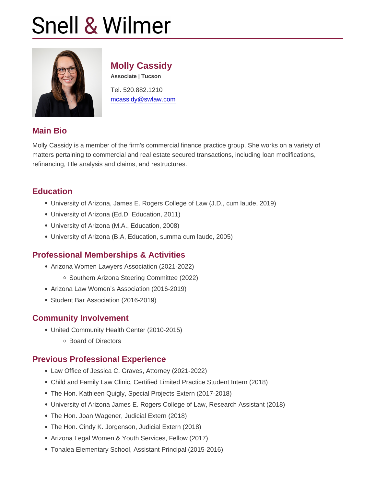# Molly Cassidy

Associate | Tucson

Tel. 520.882.1210 [mcassidy@swlaw.com](mailto:mcassidy@swlaw.com)

### Main Bio

Molly Cassidy is a member of the firm's commercial finance practice group. She works on a variety of matters pertaining to commercial and real estate secured transactions, including loan modifications, refinancing, title analysis and claims, and restructures.

### **Education**

- University of Arizona, James E. Rogers College of Law (J.D., cum laude, 2019)
- University of Arizona (Ed.D, Education, 2011)
- University of Arizona (M.A., Education, 2008)
- University of Arizona (B.A, Education, summa cum laude, 2005)

### Professional Memberships & Activities

- Arizona Women Lawyers Association (2021-2022)
	- o Southern Arizona Steering Committee (2022)
- Arizona Law Women's Association (2016-2019)
- Student Bar Association (2016-2019)

### Community Involvement

- United Community Health Center (2010-2015)
	- Board of Directors

#### Previous Professional Experience

- Law Office of Jessica C. Graves, Attorney (2021-2022)
- Child and Family Law Clinic, Certified Limited Practice Student Intern (2018)
- The Hon. Kathleen Quigly, Special Projects Extern (2017-2018)
- University of Arizona James E. Rogers College of Law, Research Assistant (2018)
- The Hon. Joan Wagener, Judicial Extern (2018)
- The Hon. Cindy K. Jorgenson, Judicial Extern (2018)
- Arizona Legal Women & Youth Services, Fellow (2017)
- Tonalea Elementary School, Assistant Principal (2015-2016)